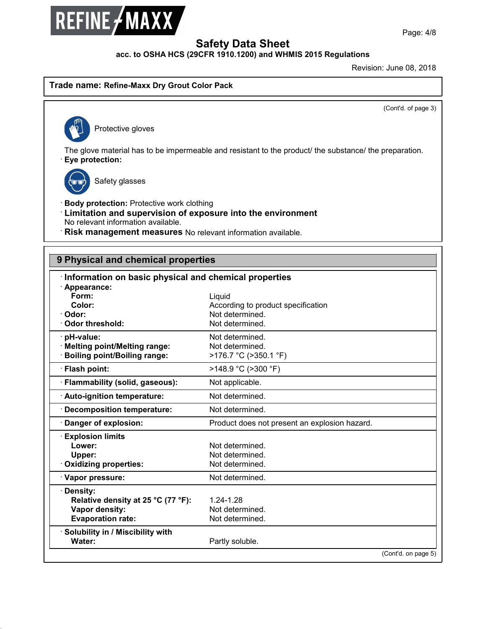

**3ULQWLQJGDWH-DQXDU\** Revision: June 08, 2018

**Trade name: Refine-Maxx Dry Grout Color Pack**<br>
Protective gloves

(Cont'd. of page 3)

The glove material has to be impermeable and resistant to the product/ the substance/ the preparation.<br>
• **Eye protection:**<br>
• **Eye protection:** e material has to be imper<br>tection:<br>Safety glasses

47.0.2

- **Eye protection:**<br>
Safety glasses<br> **Body protection:** Protective work clothing<br> **Limitation and supervision of exposure into t**<br>
No relevant information available **Example 3**<br> **Example 3**<br> **Example 3**<br> **Limitation and supervision of exposure into the environment<br>
No relevant information available.<br>
<b>Risk management measures** No relevant information available. No relevant information available.<br>
• **Risk management measures** No relevant information available.<br>
• **Risk management measures** No relevant information available.
- **· Risk management measures** No relevant information available.

| 9 Physical and chemical properties                    |                                               |  |  |  |
|-------------------------------------------------------|-----------------------------------------------|--|--|--|
| Information on basic physical and chemical properties |                                               |  |  |  |
| · Appearance:                                         |                                               |  |  |  |
| Form:                                                 | Liquid                                        |  |  |  |
| Color:                                                | According to product specification            |  |  |  |
| Odor:                                                 | Not determined.                               |  |  |  |
| Odor threshold:                                       | Not determined.                               |  |  |  |
| pH-value:                                             | Not determined.                               |  |  |  |
| · Melting point/Melting range:                        | Not determined.                               |  |  |  |
| <b>Boiling point/Boiling range:</b>                   | >176.7 °C (>350.1 °F)                         |  |  |  |
| Flash point:                                          | >148.9 °C (>300 °F)                           |  |  |  |
| · Flammability (solid, gaseous):                      | Not applicable.                               |  |  |  |
| Auto-ignition temperature:                            | Not determined.                               |  |  |  |
| <b>Decomposition temperature:</b>                     | Not determined.                               |  |  |  |
| Danger of explosion:                                  | Product does not present an explosion hazard. |  |  |  |
| <b>Explosion limits</b>                               |                                               |  |  |  |
| Lower:                                                | Not determined.                               |  |  |  |
| Upper:                                                | Not determined.                               |  |  |  |
| <b>Oxidizing properties:</b>                          | Not determined.                               |  |  |  |
| · Vapor pressure:                                     | Not determined.                               |  |  |  |
| <b>Density:</b>                                       |                                               |  |  |  |
| Relative density at 25 °C (77 °F):                    | 1.24-1.28                                     |  |  |  |
| Vapor density:                                        | Not determined.                               |  |  |  |
| <b>Evaporation rate:</b>                              | Not determined.                               |  |  |  |
| Solubility in / Miscibility with                      |                                               |  |  |  |
| Water:                                                | Partly soluble.                               |  |  |  |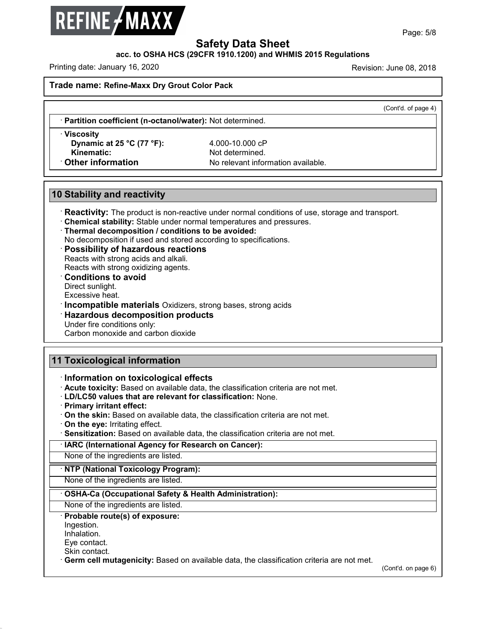

**Safety Data Sheet<br>PCFR 1910.1200) and WHMIS 2015 Regulat** Page: 5/8<br>
Revision: June 08, 2018<br>
Printing date: January 16, 2020<br>
Printing date: January 16, 2020<br>
Revision: June 08, 2018<br>
Revision: June 08, 2018<br>
Revision: June 08, 2018

**Trade name: Refine-Maxx Dry Grout Color Pack**

 $\overline{(\text{Cont } d.\text{ of page 4})}$ 

· **Partition coefficient (n-octanol/water):** Not determined. · **Viscosity**

**Example 12 of the control of the control of the control of the control of the control of the control of the control of the control of the control of the control of the control of the control of the control of the control Kinematic:** Chinematic: **Chinematic:** Partition coefficient (n-octanol/water): Not determined.<br> **Kinematic:** Not determined.<br> **Chinematic:** No relevant information available.<br> **Chinemation** No relevant information availab **10 Stability and reactivity**<br> **10 Stability and reactivity<br>
<b>10 Stability and reactivity**<br> **10 Stability and reactivity** 

**Stability and reactivity**<br> **Reactivity:** The product is non-reactive under normal conditions of use, storage and transport.<br> **Chemical stability:** Stable under normal temperatures and pressures.<br> **Thermal decomposition / Reactivity:** The product is non-reactive under normal conditions of informal stability: Stable under normal temperatures and pressure:<br>
Thermal decomposition / conditions to be avoided:<br>
No decomposition if used and store Reactivity: The product is non-reactive under normal conditions of use, storage and transport.<br>
Chemical stability: Stable under normal temperatures and pressures.<br>
Thermal decomposition / conditions to be avoided:<br>
No dec

**Chemical stability:** Stable under normal temperature Thermal decomposition *I* conditions to be avoid Possibility of hazardous reactions<br>Reacts with strong acids and alkali.<br>Reacts with strong oxidizing agents.<br>**Condition Possibility of hazardous reactions**<br>Reacts with strong acids and alkali.<br>Reacts with strong oxidizing agents.<br>**Conditions to avoid**<br>Direct sunlight.<br>Excessive heat.

**Example 12**<br> **Excessive Heat. • Possibility or nazardous reactions**<br> **Excessive heat.**<br> **Conditions to avoid**<br>
Direct sunlight.<br> **Excessive heat.**<br> **Incompatible materials** Oxidizers, strong bases, strong acids<br> **Hazardou Exacts with strong oxidizing agents.**<br> **Conditions to avoid**<br>
Direct sunlight.<br>
Excessive heat.<br> **Incompatible materials** Oxidizers, strong bases,<br> **Hazardous decomposition products**<br>
Under fire conditions only:<br>
Carbon m Direct suringfit.<br>Excessive heat.<br>**Incompatible materials** Oxidizers, strong base<br>**Hazardous decomposition products**<br>Under fire conditions only:<br>Carbon monoxide and carbon dioxide

# **11 Toxicological information**<br> **11 Toxicological information**<br> **11 Toxicological information**<br> **11 Toxicological information**

Carbon monoxide and carbon dioxide<br> **11 Toxicological information**<br> **11 Toxicological information**<br> **11 Toxicological effects**<br> **11 Acute toxicity:** Based on available data, the classification criteria are not met.<br> **12D/L** 

- 
- 
- **Toxicological information**<br> **CONFIGENT:** Acute toxicity: Based on available data, the classification criteria are not met.<br> **CD/LC50 values that are relevant for classification:** None.<br> **Primary irritant effect:**<br> **CONTIG** Information on toxicological effects<br>
Acute toxicity: Based on available data, the classification criteria are not met.<br>
LD/LC50 values that are relevant for classification: None.<br>
Primary irritant effect:<br>
On the skin: Ba On the skin: Based on available data, the clas<br>
On the eye: Irritating effect.<br> **Sensitization:** Based on available data, the clase<br> **IARC (International Agency for Research on None of the ingredients are listed.<br>
NONE OF**
- 
- 

## **EXERC (International Agency for Research on Cancer):**<br> **None of the ingredients are listed.**<br> **NONE OF the ingredients are listed.**<br> **NONE OF the ingredients are listed.**<br> **OSHA-Ca (Occupational Safety & Health Administra NONE OF the ingredients are listed.**<br> **None of the ingredients are listed.**<br> **• OSHA-Ca (Occupational Safety & Health Ad**<br>
None of the ingredients are listed.<br>
• **Probable route(s) of exposure:**<br>
Ingestion.<br>
Inhalation.<br>

Ingestion.

Inhalation.<br>Eve contact.

47.0.2

None of the ingredients are listed.<br> **Probable route(s) of exposure:**<br>
Ingestion.<br>
Inhalation.<br>
Eye contact.<br>
Skin contact.<br> **Germ cell mutagenicity:** Based on available data, the classification criteria are not met. Shorte of the ingredients are listed.<br> **Probable route(s) of exposure:**<br>
Inhalation.<br>
Eye contact.<br>
Skin contact.<br> **Germ cell mutagenicity:** Based on available data, the classification criteria are not met.<br>
(Cont'd. on pa

(Cont'd. on page 6)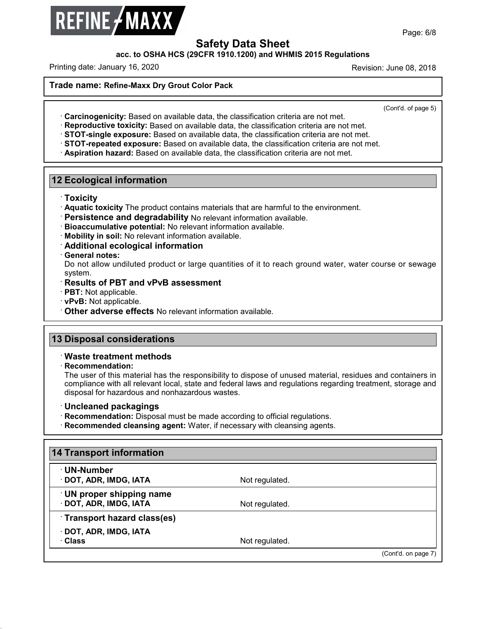

**Safety Data Sheet<br>PCFR 1910.1200) and WHMIS 2015 Regulat** Page: 6/8<br>
Revision: June 08, 2018<br>
Printing date: January 16, 2020<br>
Printing date: January 16, 2020<br>
Revision: June 08, 2018<br>
Revision: June 08, 2018<br>
Revision: June 08, 2018

**Trade name: Refine-Maxx Dry Grout Color Pack**

(Cont'd. of page 5)

Contract of page<br> **Carcinogenicity:** Based on available data, the classification criteria are not met.<br> **Contract of page**<br> **Contract of page**<br> **Contract of page**<br> **Contract of page**<br> **Contract of page**<br> **Contract of page 12 Ecological information**<br> **12 Ecological information**<br> **12 Ecological information**<br> **12 Ecological information**<br> **12 Ecological information**<br> **12 Ecological information**<br> **12 Ecological information**<br> **12 Ecological info** 

## · **Toxicity**

- Priori Contains materials that are harmful to the environment.<br>
Priority<br>
Priority The product contains materials that are harmful to the environment.<br>
Persistence and degradability No relevant information available.<br>
Prio
- **Persistence and degradability** No relevant information available.<br> **Bioaccumulative potential:** No relevant information available.<br> **Mobility in soil:** No relevant information available.<br> **Additional ecological informatio**
- 
- 

Do not allow undiluted product or large quantities of it to reach ground water, water course or sewage system.<br>
Constant of PBT and vPvB assessment system. **Example 12 Solutional schedule Constrainers of Additional ecological information**<br> **Ceneral notes:**<br>
Do not allow undiluted product or large quantities<br>
system.<br> **Results of PBT and vPvB assessment**<br> **PBT:** Not applicable • **PRT:** Not applicable. • **PPT:** Not applicable. • **PPT:** Not applicable. • **PBT:** Not applicable. • **PBT:** Not applicable. • **PBT:** Not applicable. • **PBT:** Not applicable. • **PHT:** Not applicable. • **Other adverse effec** 

- 
- 
- 
- **13 Disposal considerations**<br> **13 Disposal considerations**<br> **13 Disposal considerations**<br> **13 Disposal considerations**<br> **13 Disposal considerations** • Other adverse effects No relevant information<br> **B Disposal considerations<br>
• Waste treatment methods<br>
• Recommendation:<br>
• The user of this material has the respone**

· **Recommendation:**

47.0.2

Disposal considerations<br>Waste treatment methods<br>Recommendation:<br>The user of this material has the responsibility to dispose of unused material, residues and containers in<br>compliance with all relevant local, state and feder **Disposal considerations**<br>Waste treatment methods<br>Recommendation:<br>The user of this material has the responsibility to dispose of unused material, residues and containers in<br>compliance with all relevant local, state and fed Maste treatment methods<br>
Recommendation:<br>
The user of this material has the responsibility to dispose of<br>
compliance with all relevant local, state and federal laws and<br>
disposal for hazardous and nonhazardous wastes.<br> **Co** The user of this material has the responsibility to dispose of unused material, residues accompliance with all relevant local, state and federal laws and regulations regarding treath disposal for hazardous and nonhazardous

- 
- 
- 

| <b>Uncleaned packagings</b><br><b>Recommendation:</b> Disposal must be made according to official regulations.<br>· Recommended cleansing agent: Water, if necessary with cleansing agents. |                |                     |
|---------------------------------------------------------------------------------------------------------------------------------------------------------------------------------------------|----------------|---------------------|
| <b>14 Transport information</b>                                                                                                                                                             |                |                     |
| <b>⋅UN-Number</b><br>$\cdot$ DOT, ADR, IMDG, IATA                                                                                                                                           | Not regulated. |                     |
| <b>UN proper shipping name</b><br>· DOT, ADR, IMDG, IATA                                                                                                                                    | Not regulated. |                     |
| Transport hazard class(es)                                                                                                                                                                  |                |                     |
| · DOT, ADR, IMDG, IATA<br>∴Class                                                                                                                                                            | Not regulated. |                     |
|                                                                                                                                                                                             |                | (Cont'd. on page 7) |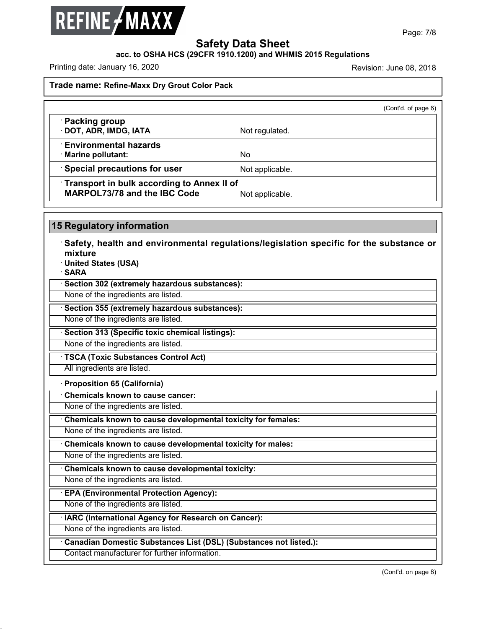

# **Safety Data Sheet<br>PCFR 1910.1200) and WHMIS 2015 Regulat** Page: 7/8<br>
Revision: June 08, 2018<br>
Printing date: January 16, 2020<br>
Printing date: January 16, 2020<br>
Revision: June 08, 2018<br>
Revision: June 08, 2018<br>
Revision: June 08, 2018

|                                                                                   | (Cont'd. of page 6) |  |
|-----------------------------------------------------------------------------------|---------------------|--|
| · Packing group<br>· DOT, ADR, IMDG, IATA                                         | Not regulated.      |  |
| $\cdot$ Environmental hazards<br>· Marine pollutant:                              | No.                 |  |
| <b>Special precautions for user</b>                                               | Not applicable.     |  |
| Transport in bulk according to Annex II of<br><b>MARPOL73/78 and the IBC Code</b> | Not applicable.     |  |

**Example 3776** and the IBC Code<br>
Similar Regulatory information<br>
Safety, health and environmental regulations/legislation specific for the substance or<br>
Thited States (USA) mixture<br>**· United States (USA) 15 Regulatory information<br>
· Safety, health and environmental regulati<br>
mixture<br>
· United States (USA)<br>
· SARA<br>
· Section 302 (extremely hazardous substances):** • **Safety, health and environmental regulations/**<br>• United States (USA)<br>• **SARA**<br>• Section 302 (extremely hazardous substances):<br>None of the ingredients are listed. Mixture<br>
None of the ingredients are listed.<br> **None of the ingredients are listed.**<br> **None of the ingredients are listed.**<br>
None of the ingredients are listed.<br>
None of the ingredients are listed.

· **SARA**

None of the ingredients are listed.<br>
None of the ingredients are listed.<br> **• Section 355 (extremely hazardous substances):**<br>
None of the ingredients are listed.<br>
• **Section 313 (Specific toxic chemical listings):**<br>
None of

**Example 1 are ingredients are listed.**<br> **None of the ingredients are listed.**<br> **• Section 313 (Specific toxic chemical listings):**<br>
None of the ingredients are listed.<br>
• **TSCA (Toxic Substances Control Act)**<br>
All ingredi

**Example 1 and 1313 (Specific toxic chemical index**<br>
• **Section 313 (Specific toxic chemical index**<br>
• **Proposition 65 (California)**<br>
• **Chemicals known to cause cancer:** 

• **TSCA (Toxic Substances Control Act)**<br>
All ingredients are listed.<br>
• **Proposition 65 (California)**<br>
• **Chemicals known to cause cancer:**<br>
None of the ingredients are listed.

None of the ingredients are listed.<br> **Chemicals known to cause cancer:**<br>
None of the ingredients are listed.<br> **Chemicals known to cause developmental toxicity for females:**<br>
None of the ingredients are listed. • **Chemicals known to cause cancer:**<br>• **Chemicals known to cause developmental toxicity for females:**<br>• **Chemicals known to cause developmental toxicity for females:**<br>• **Chemicals known to cause developmental toxicity for** None of the ingredients are listed.<br> **· Chemicals known to cause developmental toxicity for females:**<br>
None of the ingredients are listed.<br> **· Chemicals known to cause developmental toxicity:**<br> **· Chemicals known to cause** 

**Chemicals known to cause developmental toxicity:**<br>None of the ingredients are listed.<br>**EPA (Environmental Protection Agency):**<br>None of the ingredients are listed.

The international are listed.<br> **Example 3** and in the ingredients are listed.<br> **ICEPA (Environmental Protection Agency):**<br>
None of the ingredients are listed.<br> **IARC (International Agency for Research on Cancer):**<br>
None of

47.0.2

The canadian Protection Agency):<br>
None of the ingredients are listed.<br> **EXAC (International Agency for Research on Cancer):**<br>
None of the ingredients are listed.<br> **Canadian Domestic Substances List (DSL) (Substances not li** IARC (International Agency for Research on Cancer):<br>
None of the ingredients are listed.<br>
Canadian Domestic Substances List (DSL) (Substances not listed.):<br>
Contact manufacturer for further information.

(Cont'd. on page 8)